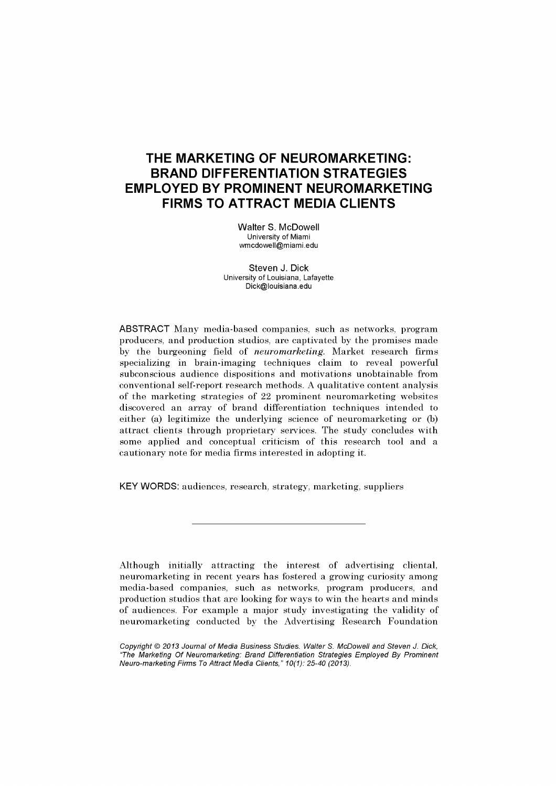# **THE MARKETING OF NEUROMARKETING: BRAND DIFFERENTIATION STRATEGIES EMPLOYED BY PROMINENT NEUROMARKETING FIRMS TO ATTRACT MEDIA CLIENTS**

Walter S. McDowell University of Miami [wmcdowell@miami.edu](mailto:wmcdowell@miami.edu) 

Steven J. Dick University of Louisiana, Lafayette [Dick@louisiana.edu](mailto:Dick@louisiana.edu) 

ABSTRACT Many media-based companies, such as networks, program producers, and production studios, are captivated by the promises made by the burgeoning field of *neuromarketing.* Market research firms specializing in brain-imaging techniques claim to reveal powerful subconscious audience dispositions and motivations unobtainable from conventional self-report research methods. A qualitative content analysis of the marketing strategies of 22 prominent neuromarketing websites discovered an array of brand differentiation techniques intended to either (a) legitimize the underlying science of neuromarketing or (b) attract clients through proprietary services. The study concludes with some applied and conceptual criticism of this research tool and a cautionary note for media firms interested in adopting it.

KEY WORDS: audiences, research, strategy, marketing, suppliers

Although initially attracting the interest of advertising cliental, neuromarketing in recent years has fostered a growing curiosity among media-based companies, such as networks, program producers, and production studios that are looking for ways to win the hearts and minds of audiences. For example a major study investigating the validity of neuromarketing conducted by the Advertising Research Foundation

Copyright © 2013 Journal of Media Business Studies. Walter S. McDowell and Steven J. Dick, "The Marketing Of Neuromarketing: Brand Differentiation Strategies Employed By Prominent Neuro-marketing Firms To Attract Media Clients," 10(1): 25-40 (2013).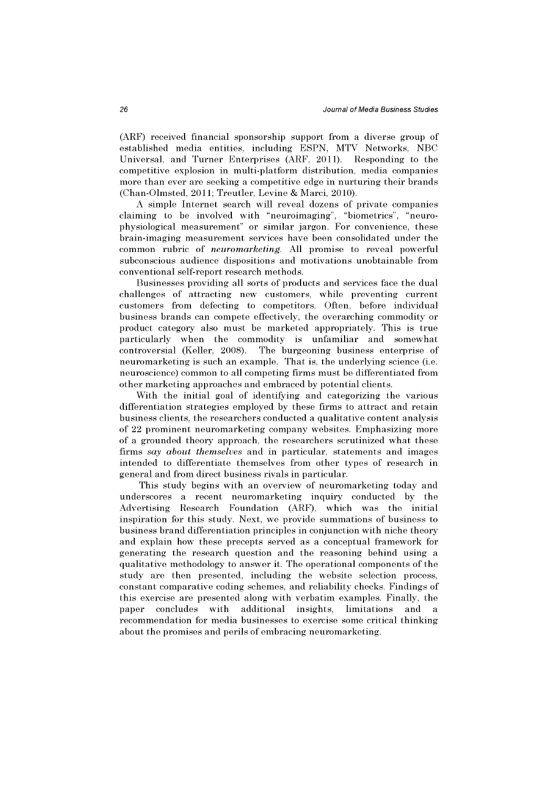(ARF) received financial sponsorship support from a diverse group of established media entities, including ESPN, MTV Networks, NBC Universal, and Turner Enterprises (ARF, 2011). Responding to the competitive explosion in multi-platform distribution, media companies more than ever are seeking a competitive edge in nurturing their brands (Chan-Olmsted, 2011; Treutler, Levine & Marci, 2010).

A simple Internet search will reveal dozens of private companies claiming to be involved with "neuroimaging", "biometrics", "neurophysiological measurement" or similar jargon. For convenience, these brain-imaging measurement services have been consohdated under the common rubric of *neuromarketing.* All promise to reveal powerful subconscious audience dispositions and motivations unobtainable from conventional self-report research methods.

Businesses providing all sorts of products and services face the dual challenges of attracting new customers, while preventing current customers from defecting to competitors. Often, before individual business brands can compete effectively, the overarching commodity or product category also must be marketed appropriately. This is true particularly when the commodity is unfamiliar and somewhat controversial (Keller, 2008). The burgeoning business enterprise of neuromarketing is such an example. That is, the underlying science (i.e. neuroscience) common to all competing firms must be differentiated from other marketing approaches and embraced by potential clients.

With the initial goal of identifying and categorizing the various differentiation strategies employed by these firms to attract and retain business clients, the researchers conducted a qualitative content analysis of 22 prominent neuromarketing company websites. Emphasizing more of a grounded theory approach, the researchers scrutinized what these firms *say about themselves* and in particular, statements and images intended to differentiate themselves from other types of research in general and from direct business rivals in particular.

This study begins with an overview of neuromarketing today and underscores a recent neuromarketing inquiry conducted by the Advertising Research Foundation (ARF), which was the initial inspiration for this study. Next, we provide summations of business to business brand differentiation principles in conjunction with niche theory and explain how these precepts served as a conceptual framework for generating the research question and the reasoning behind using a qualitative methodology to answer it. The operational components of the study are then presented, including the website selection process, constant comparative coding schemes, and reliability checks. Findings of this exercise are presented along with verbatim examples. Finally, the paper concludes with additional insights, limitations and a recommendation for media businesses to exercise some critical thinking about the promises and perils of embracing neuromarketing.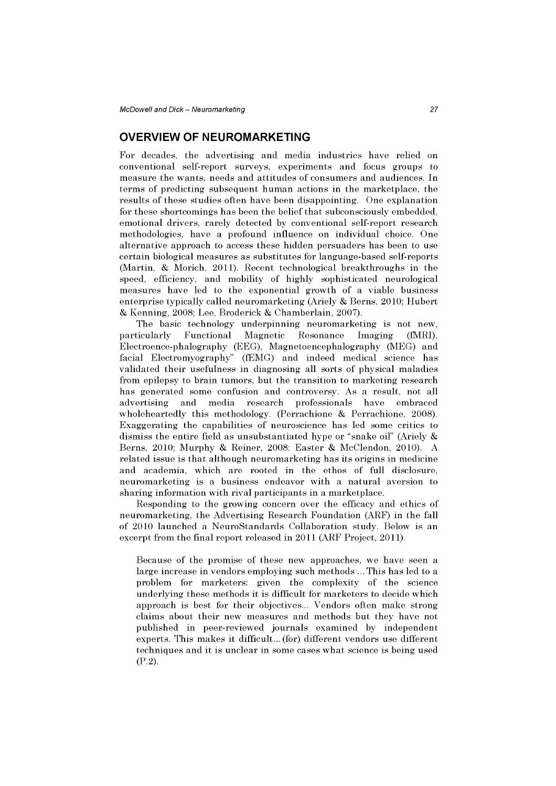# **OVERVIEW OF NEUROMARKETING**

For decades, the advertising and media industries have relied on conventional self-report surveys, experiments and focus groups to measure the wants, needs and attitudes of consumers and audiences. In terms of predicting subsequent human actions in the marketplace, the results of these studies often have been disappointing. One explanation for these shortcomings has been the belief that subconsciously embedded, emotional drivers, rarely detected by conventional self-report research methodologies, have a profound influence on individual choice. One alternative approach to access these hidden persuaders has been to use certain biological measures as substitutes for language-based self-reports (Martin, & Morich, 2011). Recent technological breakthroughs in the speed, efficiency, and mobility of highly sophisticated neurological measures have led to the exponential growth of a viable business enterprise typically called neuromarketing (Ariely & Berns, 2010; Hubert & Kenning, 2008; Lee, Broderick & Chamberlain, 2007).

The basic technology underpinning neuromarketing is not new, particularly Functional Magnetic Resonance Imaging (fMRI), Electroence-phalography (EEG), Magnetoencephalography (MEG) and facial Electromyography" (fEMG) and indeed medical science has validated their usefulness in diagnosing all sorts of physical maladies from epilepsy to brain tumors, but the transition to marketing research has generated some confusion and controversy. As a result, not all advertising and media research professionals have embraced wholeheartedly this methodology. (Perrachione & Perrachione, 2008). Exaggerating the capabilities of neuroscience has led some critics to dismiss the entire field as unsubstantiated hype or "snake oil" (Ariely & Berns, 2010; Murphy & Reiner, 2008: Easter & McClendon, 2010). A related issue is that although neuromarketing has its origins in medicine and academia, which are rooted in the ethos of full disclosure, neuromarketing is a business endeavor with a natural aversion to sharing information with rival participants in a marketplace.

Responding to the growing concern over the efficacy and ethics of neuromarketing, the Advertising Research Foundation (ARF) in the fall of 2010 launched a NeuroStandards Collaboration study. Below is an excerpt from the final report released in 2011 (ARF Project, 2011).

Because of the promise of these new approaches, we have seen a large increase in vendors employing such methods ... This has led to a problem for marketers: given the complexity of the science underlying these methods it is difficult for marketers to decide which approach is best for their objectives... Vendors often make strong claims about their new measures and methods but they have not published in peer-reviewed journals examined by independent experts. This makes it difficult... (for) different vendors use different techniques and it is unclear in some cases what science is being used  $(P. 2).$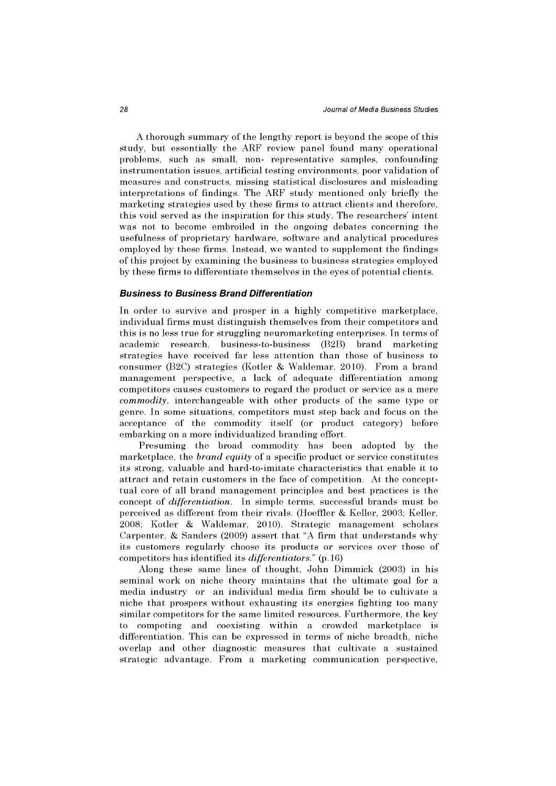A thorough summary of the lengthy report is beyond the scope of this study, but essentially the ARF review panel found many operational problems, such as small, non- representative samples, confounding instrumentation issues, artificial testing environments, poor validation of measures and constructs, missing statistical disclosures and misleading interpretations of findings. The ARF study mentioned only briefly the marketing strategies used by these firms to attract clients and therefore, this void served as the inspiration for this study. The researchers' intent was not to become embroiled in the ongoing debates concerning the usefulness of proprietary hardware, software and analytical procedures employed by these firms. Instead, we wanted to supplement the findings of this project by examining the business to business strategies employed by these firms to differentiate themselves in the eyes of potential clients.

#### **Business to Business Brand Differentiation**

In order to survive and prosper in a highly competitive marketplace, individual firms must distinguish themselves from their competitors and this is no less true for struggling neuromarketing enterprises. In terms of academic research, business-to-business (B2B) brand marketing strategies have received far less attention than those of business to consumer (B2C) strategies (Kotler & Waldemar, 2010). From a brand management perspective, a lack of adequate differentiation among competitors causes customers to regard the product or service as a mere *commodity,* interchangeable with other products of the same type or genre. In some situations, competitors must step back and focus on the acceptance of the commodity itself (or product category) before embarking on a more individualized branding effort.

Presuming the broad commodity has been adopted by the marketplace, the *brand equity* of a specific product or service constitutes its strong, valuable and hard-to-imitate characteristics that enable it to attract and retain customers in the face of competition. At the concepttual core of all brand management principles and best practices is the concept of *differentiation.* In simple terms, successful brands must be perceived as different from their rivals. (Hoeffler & Keller, 2003; Keller, 2008; Kotler & Waldemar, 2010). Strategic management scholars Carpenter, & Sanders (2009) assert that "A firm that understands why its customers regularly choose its products or services over those of competitors has identified its *differentiators."* (p. 16)

Along these same lines of thought, John Dimmick (2003) in his seminal work on niche theory maintains that the ultimate goal for a media industry or an individual media firm should be to cultivate a niche that prospers without exhausting its energies fighting too many similar competitors for the same limited resources. Furthermore, the key to competing and coexisting within a crowded marketplace is differentiation. This can be expressed in terms of niche breadth, niche overlap and other diagnostic measures that cultivate a sustained strategic advantage. From a marketing communication perspective,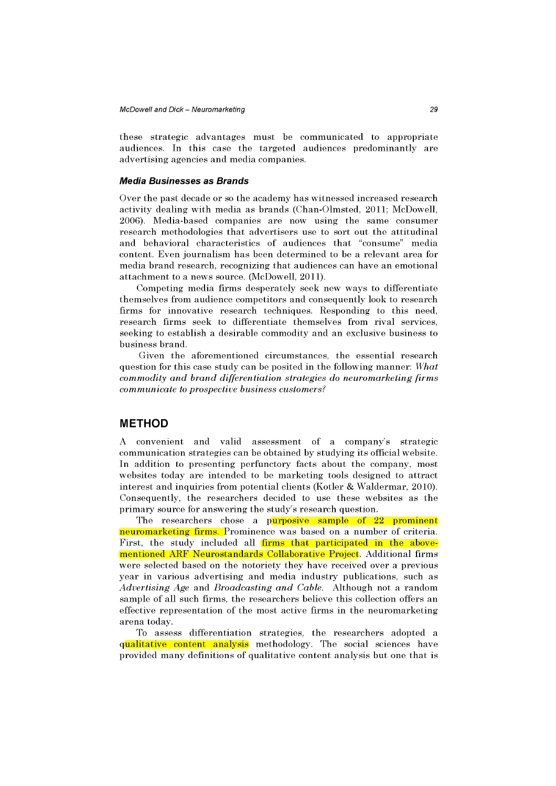these strategic advantages must be communicated to appropriate audiences. In this case the targeted audiences predominantly are advertising agencies and media companies.

#### **Media Businesses as Brands**

Over the past decade or so the academy has witnessed increased research activity dealing with media as brands (Chan-Olmsted, 2011; McDowell, 2006). Media-based companies are now using the same consumer research methodologies that advertisers use to sort out the attitudinal and behavioral characteristics of audiences that "consume" media content. Even journalism has been determined to be a relevant area for media brand research, recognizing that audiences can have an emotional attachment to a news source. (McDowell, 2011).

Competing media firms desperately seek new ways to differentiate themselves from audience competitors and consequently look to research firms for innovative research techniques. Responding to this need, research firms seek to differentiate themselves from rival services, seeking to establish a desirable commodity and an exclusive business to business brand.

Given the aforementioned circumstances, the essential research question for this case study can be posited in the following manner: *What commodity and brand differentiation strategies do neuromarketing firms communicate to prospective business customers?* 

# **METHOD**

A convenient and valid assessment of a company's strategic communication strategies can be obtained by studying its official website. In addition to presenting perfunctory facts about the company, most websites today are intended to be marketing tools designed to attract interest and inquiries from potential clients (Kotler & Waldermar, 2010). Consequently, the researchers decided to use these websites as the primary source for answering the study's research question.

The researchers chose a purposive sample of 22 prominent neuromarketing firms. Prominence was based on a number of criteria. First, the study included all firms that participated in the abovementioned ARF Neurostandards Collaborative Project. Additional firms were selected based on the notoriety they have received over a previous year in various advertising and media industry publications, such as *Advertising Age* and *Broadcasting and Cable.* Although not a random sample of all such firms, the researchers believe this collection offers an effective representation of the most active firms in the neuromarketing arena today.

To assess differentiation strategies, the researchers adopted a qualitative content analysis methodology. The social sciences have provided many definitions of qualitative content analysis but one that is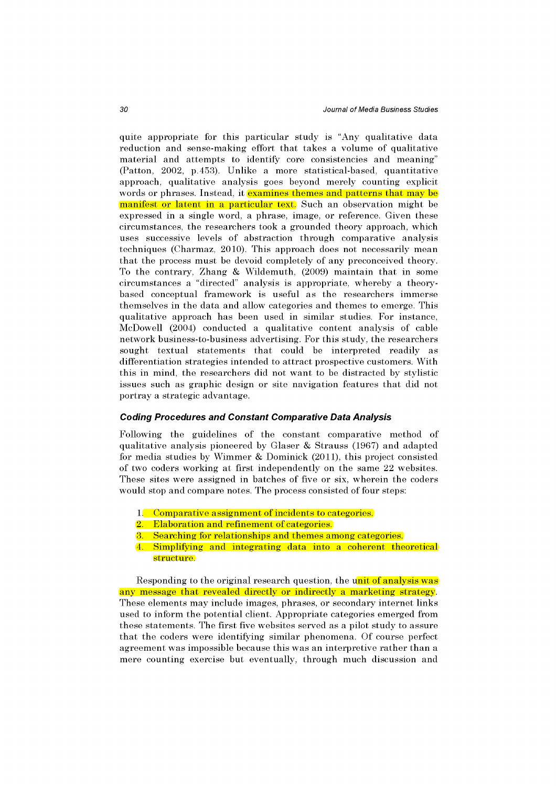quite appropriate for this particular study is "Any qualitative data reduction and sense-making effort that takes a volume of qualitative material and attempts to identify core consistencies and meaning" (Patton, 2002, p.453). Unlike a more statistical-based, quantitative approach, qualitative analysis goes beyond merely counting explicit words or phrases. Instead, it examines themes and patterns that may be manifest or latent in a particular text. Such an observation might be expressed in a single word, a phrase, image, or reference. Given these circumstances, the researchers took a grounded theory approach, which uses successive levels of abstraction through comparative analysis techniques (Charmaz, 2010). This approach does not necessarily mean that the process must be devoid completely of any preconceived theory. To the contrary, Zhang & Wildemuth, (2009) maintain that in some circumstances a "directed" analysis is appropriate, whereby a theorybased conceptual framework is useful as the researchers immerse themselves in the data and allow categories and themes to emerge. This qualitative approach has been used in similar studies. For instance, McDowell (2004) conducted a qualitative content analysis of cable network business-to-business advertising. For this study, the researchers sought textual statements that could be interpreted readily as differentiation strategies intended to attract prospective customers. With this in mind, the researchers did not want to be distracted by stylistic issues such as graphic design or site navigation features that did not portray a strategic advantage.

#### **Coding Procedures and Constant Comparative Data Analysis**

Following the guidelines of the constant comparative method of qualitative analysis pioneered by Glaser & Strauss 1967) and adapted for media studies by Wimmer & Dominick (2011), this project consisted of two coders working at first independently on the same 22 websites. These sites were assigned in batches of five or six, wherein the coders would stop and compare notes. The process consisted of four steps:

- 1. Comparative assignment of incidents to categories.
- 2. Elaboration and refinement of categories.
- 3. Searching for relationships and themes among categories.
- 4. Simplifying and integrating data into a coherent theoretical structure.

Responding to the original research question, the unit of analysis was any message that revealed directly or indirectly a marketing strategy. These elements may include images, phrases, or secondary internet links used to inform the potential client. Appropriate categories emerged from these statements. The first five websites served as a pilot study to assure that the coders were identifying similar phenomena. Of course perfect agreement was impossible because this was an interpretive rather than a mere counting exercise but eventually, through much discussion and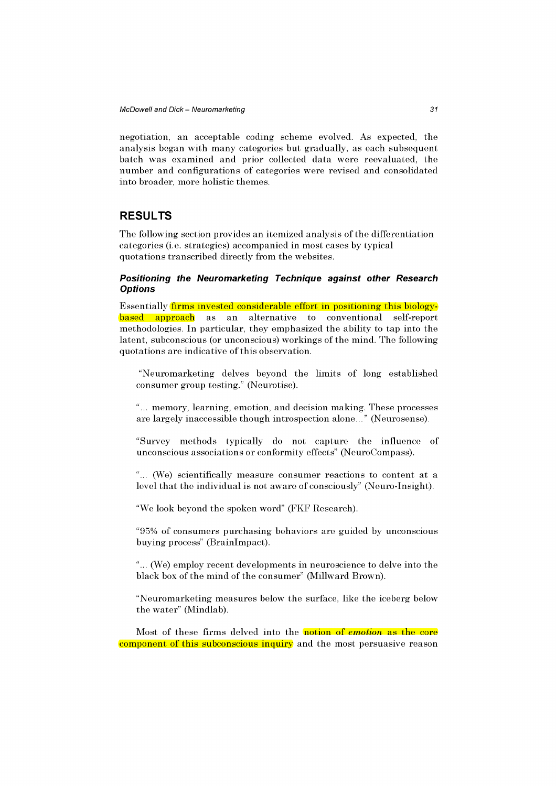negotiation, an acceptable coding scheme evolved. As expected, the analysis began with many categories but gradually, as each subsequent batch was examined and prior collected data were reevaluated, the number and configurations of categories were revised and consolidated into broader, more holistic themes.

# **RESULTS**

The following section provides an itemized analysis of the differentiation categories (i.e. strategies) accompanied in most cases by typical quotations transcribed directly from the websites.

## **Positioning the Neuromarketing Technique against other Research Options**

Essentially firms invested considerable effort in positioning this biologybased approach as an alternative to conventional self-report methodologies. In particular, they emphasized the ability to tap into the latent, subconscious (or unconscious) workings of the mind. The following quotations are indicative of this observation.

"Neuromarketing delves beyond the limits of long established consumer group testing." (Neurotise).

"... memory, learning, emotion, and decision making. These processes are largely inaccessible though introspection alone..." (Neurosense).

"Survey methods typically do not capture the influence of unconscious associations or conformity effects" (NeuroCompass).

"... (We) scientifically measure consumer reactions to content at a level that the individual is not aware of consciously" (Neuro-Insight).

"We look beyond the spoken word" (FKF Research).

"95% of consumers purchasing behaviors are guided by unconscious buying process" (Brainlmpact).

"... (We) employ recent developments in neuroscience to delve into the black box of the mind of the consumer" (Millward Brown).

"Neuromarketing measures below the surface, like the iceberg below the water" (Mindlab).

Most of these firms delved into the notion of *emotion* as the core component of this subconscious inquiry and the most persuasive reason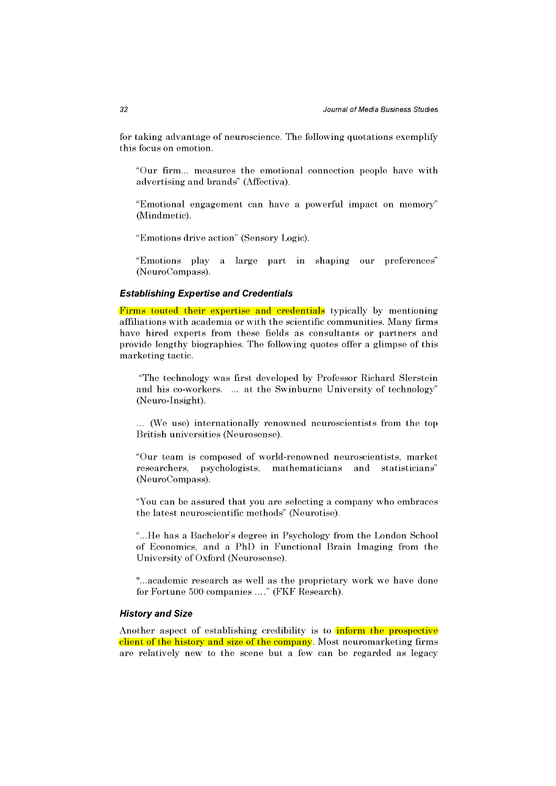for taking advantage of neuroscience. The following quotations exemplify this focus on emotion.

"Our firm... measures the emotional connection people have with advertising and brands" (Affectiva).

"Emotional engagement can have a powerful impact on memory" (Mindmetic).

"Emotions drive action" (Sensory Logic).

"Emotions play a large part in shaping our preferences" (NeuroCompass).

#### **Establishing Expertise and Credentials**

Firms touted their expertise and credentials typically by mentioning affiliations with academia or with the scientific communities. Many firms have hired experts from these fields as consultants or partners and provide lengthy biographies. The following quotes offer a glimpse of this marketing tactic.

"The technology was first developed by Professor Richard Slerstein and his co-workers. ... at the Swinburne University of technology" (Neuro-Insight).

... (We use) internationally renowned neuroscientists from the top British universities (Neurosense).

"Our team is composed of world-renowned neuroscientists, market researchers, psychologists, mathematicians and statisticians" (NeuroCompass).

"You can be assured that you are selecting a company who embraces the latest neuroscientific methods" (Neurotise).

"...He has a Bachelor's degree in Psychology from the London School of Economics, and a PhD in Functional Brain Imaging from the University of Oxford (Neurosense).

"...academic research as well as the proprietary work we have done for Fortune 500 companies ...." (FKF Research).

#### **History and Size**

Another aspect of establishing credibility is to inform the prospective client of the history and size of the company. Most neuromarketing firms are relatively new to the scene but a few can be regarded as legacy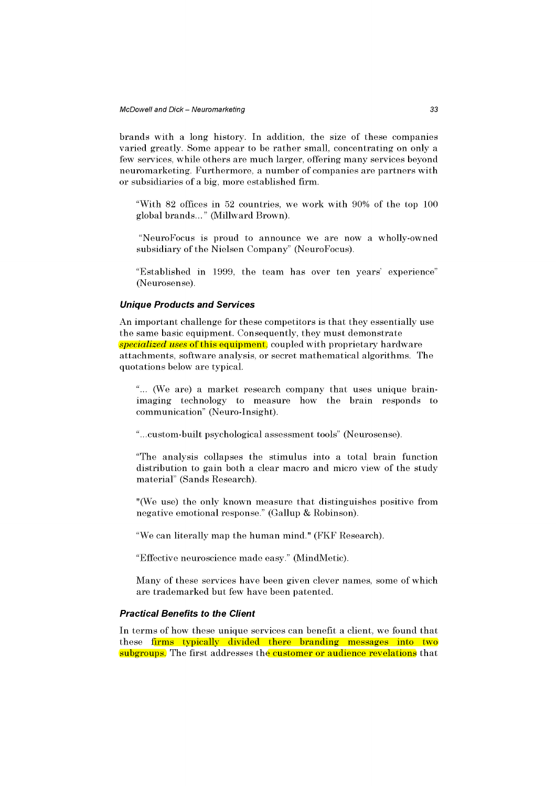brands with a long history. In addition, the size of these companies varied greatly. Some appear to be rather small, concentrating on only a few services, while others are much larger, offering many services beyond neuromarketing. Furthermore, a number of companies are partners with or subsidiaries of a big, more established firm.

"With 82 offices in 52 countries, we work with 90% of the top 100 global brands..." (Millward Brown).

"NeuroFocus is proud to announce we are now a wholly-owned subsidiary of the Nielsen Company" (NeuroFocus).

"Established in 1999, the team has over ten years' experience" (Neurosense).

### **Unique Products and Services**

An important challenge for these competitors is that they essentially use the same basic equipment. Consequently, they must demonstrate *specialized uses* of this equipment, coupled with proprietary hardware attachments, software analysis, or secret mathematical algorithms. The quotations below are typical.

"... (We are) a market research company that uses unique brainimaging technology to measure how the brain responds to communication" (Neuro-Insight).

"...custom-built psychological assessment tools" (Neurosense).

"The analysis collapses the stimulus into a total brain function distribution to gain both a clear macro and micro view of the study material" (Sands Research).

"(We use) the only known measure that distinguishes positive from negative emotional response." (Gallup & Robinson).

"We can literally map the human mind." (FKF Research).

"Effective neuroscience made easy." (MindMetic).

Many of these services have been given clever names, some of which are trademarked but few have been patented.

#### **Practical Benefits to the Client**

In terms of how these unique services can benefit a client, we found that these firms typically divided there branding messages into two subgroups. The first addresses the customer or audience revelations that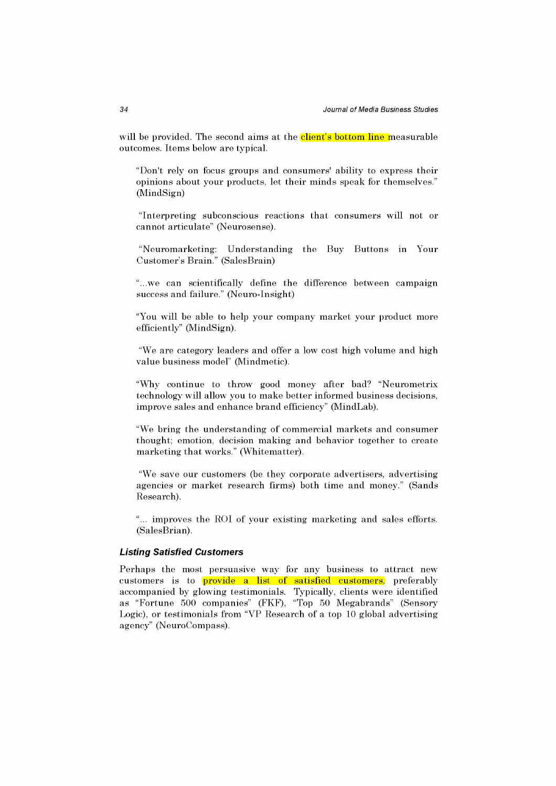will be provided. The second aims at the client's bottom line measurable outcomes. Items below are typical.

"Don't rely on focus groups and consumers' ability to express their opinions about your products, let their minds speak for themselves." (MindSign)

"Interpreting subconscious reactions that consumers will not or cannot articulate" (Neurosense).

"Neuromarketing: Understanding the Buy Buttons in Your Customer's Brain." (SalesBrain)

"...we can scientifically define the difference between campaign success and failure." (Neuro-Insight)

"You will be able to help your company market your product more efficiently" (MindSign).

"We are category leaders and offer a low cost high volume and high value business model" (Mindmetic).

"Why continue to throw good money after bad? "Neurometrix technology will allow you to make better informed business decisions, improve sales and enhance brand efficiency" (MindLab).

"We bring the understanding of commercial markets and consumer thought; emotion, decision making and behavior together to create marketing that works." (Whitematter).

"We save our customers (be they corporate advertisers, advertising agencies or market research firms) both time and money." (Sands Research).

"... improves the ROI of your existing marketing and sales efforts. (SalesBrian).

## **Listing Satisfied Customers**

Perhaps the most persuasive way for any business to attract new customers is to provide a list of satisfied customers, preferably accompanied by glowing testimonials. Typically, clients were identified as "Fortune 500 companies" (FKF), "Top 50 Megabrands" (Sensory Logic), or testimonials from "VP Research of a top 10 global advertising agency" (NeuroCompass).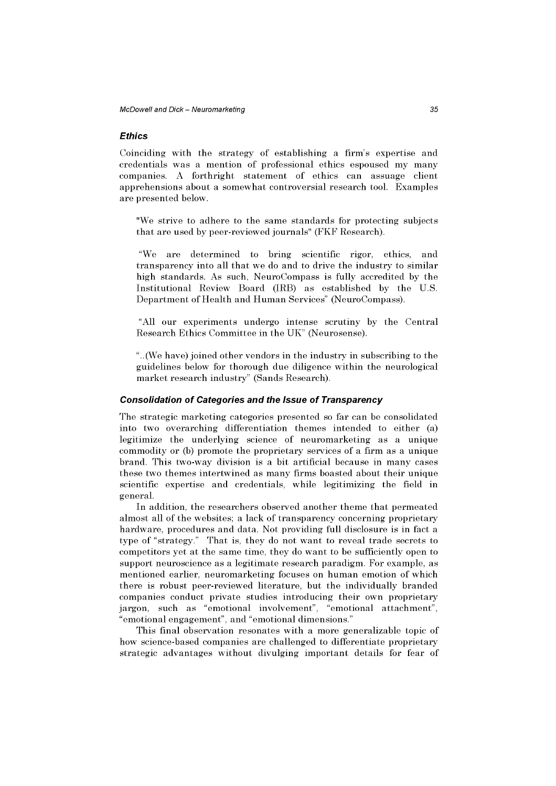### **Ethics**

Coinciding with the strategy of establishing a firm's expertise and credentials was a mention of professional ethics espoused my many companies. A forthright statement of ethics can assuage client apprehensions about a somewhat controversial research tool. Examples are presented below.

"We strive to adhere to the same standards for protecting subjects that are used by peer-reviewed journals" (FKF Research).

"We are determined to bring scientific rigor, ethics, and transparency into all that we do and to drive the industry to similar high standards. As such, NeuroCompass is fully accredited by the Institutional Review Board (IRB) as established by the U.S. Department of Health and Human Services" (NeuroCompass).

"All our experiments undergo intense scrutiny by the Central Research Ethics Committee in the UK" (Neurosense).

"..(We have) joined other vendors in the industry in subscribing to the guidelines below for thorough due diligence within the neurological market research industry" (Sands Research).

## **Consolidation of Categories and the Issue of Transparency**

The strategic marketing categories presented so far can be consolidated into two overarching differentiation themes intended to either (a) legitimize the underlying science of neuromarketing as a unique commodity or (b) promote the proprietary services of a firm as a unique brand. This two-way division is a bit artificial because in many cases these two themes intertwined as many firms boasted about their unique scientific expertise and credentials, while legitimizing the field in general.

In addition, the researchers observed another theme that permeated almost all of the websites; a lack of transparency concerning proprietary hardware, procedures and data. Not providing full disclosure is in fact a type of "strategy." That is, they do not want to reveal trade secrets to competitors yet at the same time, they do want to be sufficiently open to support neuroscience as a legitimate research paradigm. For example, as mentioned earlier, neuromarketing focuses on human emotion of which there is robust peer-reviewed literature, but the individually branded companies conduct private studies introducing their own proprietary jargon, such as "emotional involvement", "emotional attachment", "emotional engagement", and "emotional dimensions."

This final observation resonates with a more generalizable topic of how science-based companies are challenged to differentiate proprietary strategic advantages without divulging important details for fear of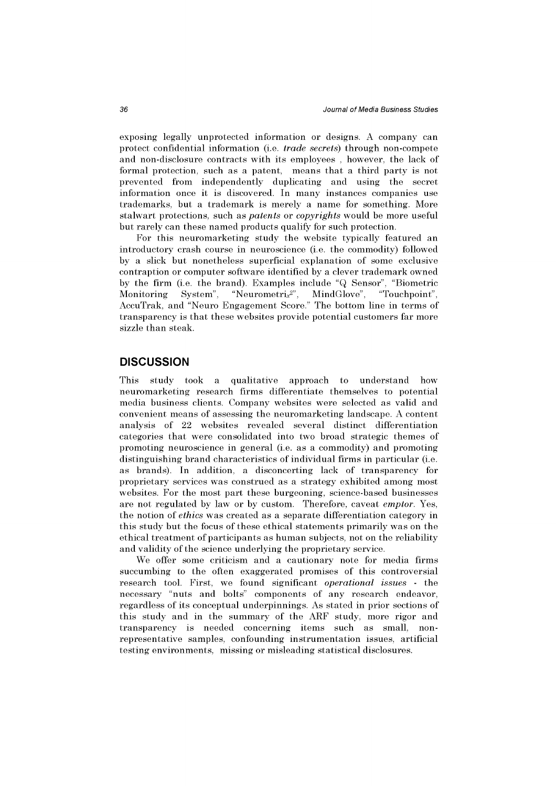exposing legally unprotected information or designs. A company can protect confidential information (i.e. *trade secrets)* through non-compete and non-disclosure contracts with its employees , however, the lack of formal protection, such as a patent, means that a third party is not prevented from independently duplicating and using the secret information once it is discovered. In many instances companies use trademarks, but a trademark is merely a name for something. More stalwart protections, such as *patents* or *copyrights* would be more useful but rarely can these named products qualify for such protection.

For this neuromarketing study the website typically featured an introductory crash course in neuroscience (i.e. the commodity) followed by a slick but nonetheless superficial explanation of some exclusive contraption or computer software identified by a clever trademark owned by the firm (i.e. the brand). Examples include "Q Sensor", "Biometric Monitoring System", "Neurometrix<sup>2"</sup>, MindGlove", "Touchpoint", AccuTrak, and "Neuro Engagement Score." The bottom line in terms of transparency is that these websites provide potential customers far more sizzle than steak.

## **DISCUSSION**

This study took a qualitative approach to understand how neuromarketing research firms differentiate themselves to potential media business clients. Company websites were selected as valid and convenient means of assessing the neuromarketing landscape. A content analysis of 22 websites revealed several distinct differentiation categories that were consolidated into two broad strategic themes of promoting neuroscience in general (i.e. as a commodity) and promoting distinguishing brand characteristics of individual firms in particular (i.e. as brands). In addition, a disconcerting lack of transparency for proprietary services was construed as a strategy exhibited among most websites. For the most part these burgeoning, science-based businesses are not regulated by law or by custom. Therefore, caveat *emptor.* Yes, the notion of *ethics* was created as a separate differentiation category in this study but the focus of these ethical statements primarily was on the ethical treatment of participants as human subjects, not on the reliability and validity of the science underlying the proprietary service.

We offer some criticism and a cautionary note for media firms succumbing to the often exaggerated promises of this controversial research tool. First, we found significant *operational issues* - the necessary "nuts and bolts" components of any research endeavor, regardless of its conceptual underpinnings. As stated in prior sections of this study and in the summary of the ARF study, more rigor and transparency is needed concerning items such as small, nonrepresentative samples, confounding instrumentation issues, artificial testing environments, missing or misleading statistical disclosures.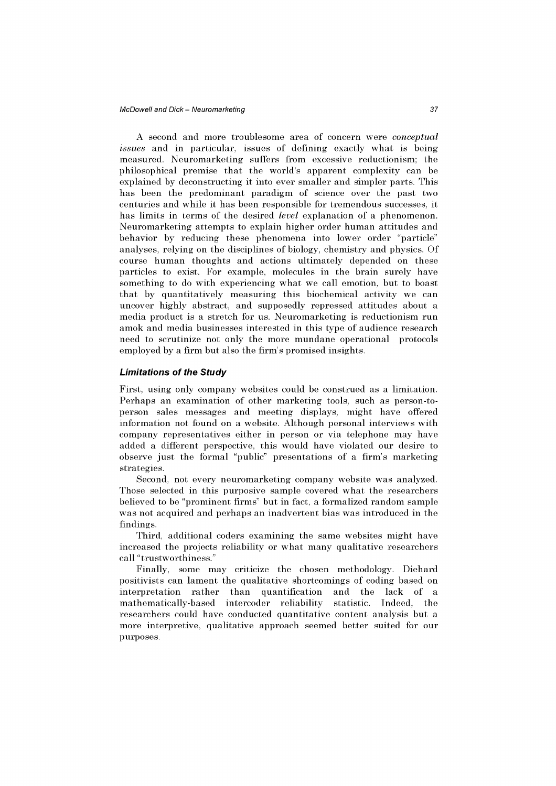A second and more troublesome area of concern were *conceptual issues* and in particular, issues of defining exactly what is being measured. Neuromarketing suffers from excessive reductionism; the philosophical premise that the world's apparent complexity can be explained by deconstructing it into ever smaller and simpler parts. This has been the predominant paradigm of science over the past two centuries and while it has been responsible for tremendous successes, it has limits in terms of the desired *level* explanation of a phenomenon. Neuromarketing attempts to explain higher order human attitudes and behavior by reducing these phenomena into lower order "particle" analyses, relying on the disciplines of biology, chemistry and physics. Of course human thoughts and actions ultimately depended on these particles to exist. For example, molecules in the brain surely have something to do with experiencing what we call emotion, but to boast that by quantitatively measuring this biochemical activity we can uncover highly abstract, and supposedly repressed attitudes about a media product is a stretch for us. Neuromarketing is reductionism run amok and media businesses interested in this type of audience research need to scrutinize not only the more mundane operational protocols employed by a firm but also the firm's promised insights.

#### **Limitations of the Study**

First, using only company websites could be construed as a limitation. Perhaps an examination of other marketing tools, such as person-toperson sales messages and meeting displays, might have offered information not found on a website. Although personal interviews with company representatives either in person or via telephone may have added a different perspective, this would have violated our desire to observe just the formal "public" presentations of a firm's marketing strategies.

Second, not every neuromarketing company website was analyzed. Those selected in this purposive sample covered what the researchers believed to be "prominent firms" but in fact, a formalized random sample was not acquired and perhaps an inadvertent bias was introduced in the findings.

Third, additional coders examining the same websites might have increased the projects reliability or what many qualitative researchers call "trustworthiness."

Finally, some may criticize the chosen methodology. Diehard positivists can lament the qualitative shortcomings of coding based on interpretation rather than quantification and the lack of a mathematically-based intercoder reliability statistic. Indeed, the researchers could have conducted quantitative content analysis but a more interpretive, qualitative approach seemed better suited for our purposes.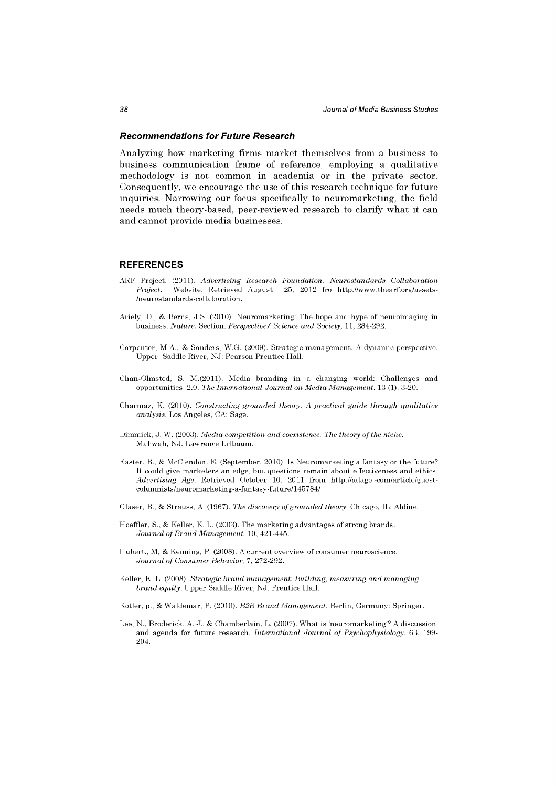#### **Recommendations for Future Research**

Analyzing how marketing firms market themselves from a business to business communication frame of reference, employing a qualitative methodology is not common in academia or in the private sector. Consequently, we encourage the use of this research technique for future inquiries. Narrowing our focus specifically to neuromarketing, the field needs much theory-based, peer-reviewed research to clarify what it can and cannot provide media businesses.

#### **REFERENCES**

- AEF Project. (2011). *Advertising Research Foundation. Neurostandards Collaboration Website. Retrieved August 25, 2012 fro <http://www.thearf.org/assets->* /neurostandards -collaboration.
- Ariely, D., & Berns, J.S. (2010). Neuromarketing: The hope and hype of neuroimaging in business. *Nature.* Section: *Perspective/ Science and Society,* 11, 284-292.
- Carpenter, M.A., & Sanders, W.G. (2009). Strategic management. A dynamic perspective. Upper Saddle River, NJ: Pearson Prentice Hall.
- Chan-Olmsted, S. M.(2011). Media branding in a changing world: Challenges and opportunities 2.0. The International Journal on Media Management. 13 (1), 3-20.
- Charmaz, K. (2010). *Constructing grounded theory. A practical guide through qualitative analysis.* Los Angeles, CA: Sage.
- Dimmick, J. W. (2003). *Media competition and coexistence. The theory of the niche.*  Mahwah, NJ: Lawrence Erlbaum.
- Easter, B., & McClendon. E. (September, 2010). Is Neuromarketing a fantasy or the future? It could give marketers an edge, but questions remain about effectiveness and ethics. *Advertising Age.* Retrieved October 10, 2011 from [http://adage.-com/article/guest](http://adage.-com/article/guest-)columnists/neuromarketing-a-fantasy-future/145784/
- Glaser, B., & Strauss, A. 1967). *The discovery of grounded theory.* Chicago, IL: Aldine.
- Hoeffler, S., & Keller, K. L. (2003). The marketing advantages of strong brands. *Journal of Brand Management,* 10, 421-445.
- Hubert., M, & Kenning, P. (2008). A current overview of consumer neuroscience. *Journal of Consumer Behavior,* 7, 272-292.
- Keller, K. L. (2008). *Strategic brand management: Building, measuring and managing brand equity.* Upper Saddle River, NJ: Prentice Hall.

Kotler, p., & Waldemar, P. (2010). *B2B Brand Management.* Berlin, Germany: Springer.

Lee, N., Broderick, A. J., & Chamberlain, L. (2007). What is 'neuromarketing'? A discussion and agenda for future research. *International Journal of Psychophysiology,* 63, 199- 204.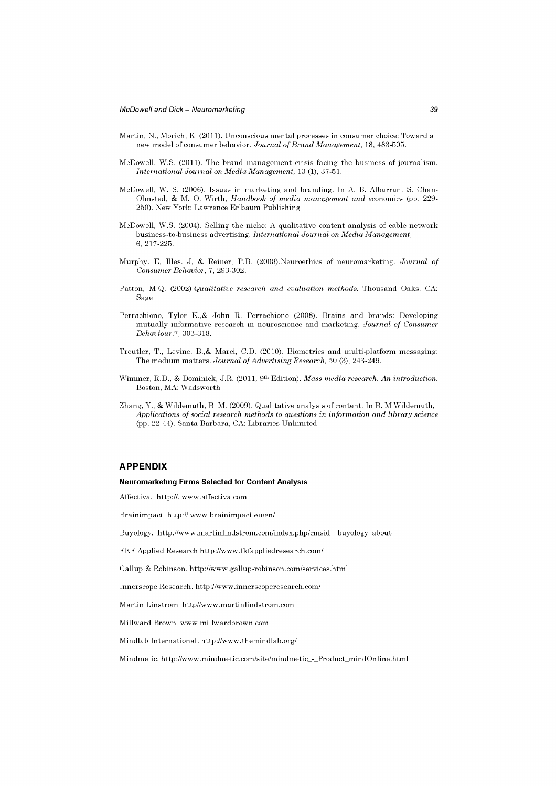- Martin, N., Morich, K. (2011). Unconscious mental processes in consumer choice: Toward a new model of consumer behavior. *Journal of Brand Management,* 18, 483-505.
- McDowell, W.S. (2011). The brand management crisis facing the business of journalism. *International Journal on Media Management,* 13 (1), 37-51.
- McDowell, W. S. (2006). Issues in marketing and branding. In A. B. Albarran, S. Chan-Olmsted, & M. O. Wirth, *Handbook of media management and* economics (pp. 229- 250). New York: Lawrence Erlbaum Publishing
- McDowell, W.S. (2004). Selling the niche: A qualitative content analysis of cable network business-to-business advertising. *International Journal on Media Management,*  6, 217-225.
- Murphy. E, Illes. J, & Reiner, P.B. (2008).Neuroethics of neuromarketing. *Journal of Consumer Behavior,* 7, 293-302.
- Patton, M.Q. (2002).*Qualitative research and evaluation methods.* Thousand Oaks, CA: Sage.
- Perrachione, Tyler K.,& John R. Perrachione (2008). Brains and brands: Developing mutually informative research in neuroscience and marketing. *Journal of Consumer Behaviour,!,* 303-318.
- Treutler, T., Levine, B.,& Marci, CD. (2010). Biometrics and multi-platform messaging: The medium matters. *Journal of Advertising Research,* 50 (3), 243-249.
- Wimmer, R.D., & Dominick, J.R. (2011, 9<sup>th</sup> Edition). *Mass media research. An introduction.* Boston, MA: Wadsworth
- Zhang, Y., & Wildemuth, B. M. (2009). Qualitative analysis of content. In B. M Wildemuth. *Applications of social research methods to questions in information and library science*  (pp. 22-44). Santa Barbara, CA: Libraries Unlimited

#### **APPENDIX**

#### **Neuromarketing Firms Selected for Content Analysis**

Affectiva. [http://.](http://) [www.affectiva.com](http://www.affectiva.com)

Brainimpact. <http://>[www.brainimpact.eu/en/](http://www.brainimpact.eu/en/)

Buyology. [http://www.martinlindstrom.com/index.php/cmsid\\_buyology\\_about](http://www.martinlindstrom.com/index.php/cmsid_buyology_about) 

FKF Applied Research <http://www.fkfappliedresearch.com/>

Gallup & Robinson, <http://www.gallup-robinson.com/services.html>

Innerscope Research, <http://www.innerscoperesearch.com/>

Martin Linstrom. http//www .<martinlindstrom.com>

Millward Brown, [www.millwardbrown.com](http://www.millwardbrown.com) 

Mindlab International, <http://www.themindlab.org/>

Mindmetic. [http://www.mindmetic.com/site/mindmetic\\_-\\_Product\\_mindOnline.html](http://www.mindmetic.com/site/mindmetic_-_Product_mindOnline.html)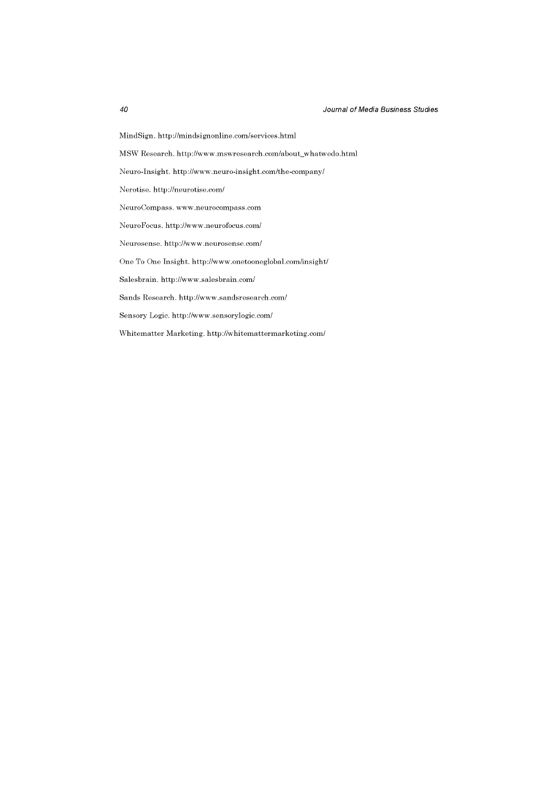MindSign. <http://mindsignonline.com/services.html>

MSW Research, [http://www.mswresearch.com/about\\_whatwedo.html](http://www.mswresearch.com/about_whatwedo.html)

Neuro-Insight. <http://www.neuro-insight.com/the-company/>

Nerotise. <http://neurotise.com/>

<NeuroCompass.www.neurocompass.com>

NeuroFocus. <http://www.neurofocus.com/>

Neurosense. <http://www.neurosense.com/>

One To One Insight, <http://www.onetooneglobal.com/insight/>

Salesbrain. <http://www.salesbrain.com/>

Sands Research, <http://www.sandsresearch.com/>

Sensory Logic, <http://www.sensorylogic.com/>

Whitematter Marketing, <http://whitemattermarketing.com/>